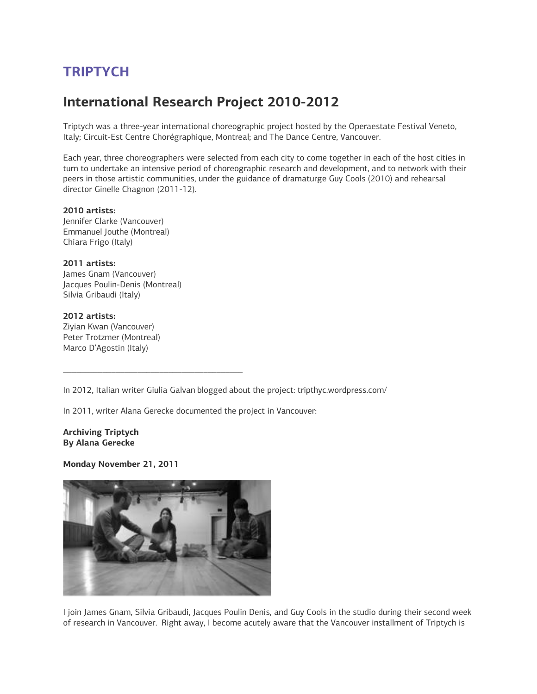# **TRIPTYCH**

# **International Research Project 2010-2012**

Triptych was a three-year international choreographic project hosted by the Operaestate Festival Veneto, Italy; Circuit-Est Centre Chorégraphique, Montreal; and The Dance Centre, Vancouver.

Each year, three choreographers were selected from each city to come together in each of the host cities in turn to undertake an intensive period of choreographic research and development, and to network with their peers in those artistic communities, under the guidance of dramaturge Guy Cools (2010) and rehearsal director Ginelle Chagnon (2011-12).

**2010 artists:** Jennifer Clarke (Vancouver) Emmanuel Jouthe (Montreal) Chiara Frigo (Italy)

**2011 artists:** James Gnam (Vancouver) Jacques Poulin-Denis (Montreal) Silvia Gribaudi (Italy)

**2012 artists:** Ziyian Kwan (Vancouver) Peter Trotzmer (Montreal) Marco D'Agostin (Italy)

In 2012, Italian writer Giulia Galvan blogged about the project: tripthyc.wordpress.com/

In 2011, writer Alana Gerecke documented the project in Vancouver:

\_\_\_\_\_\_\_\_\_\_\_\_\_\_\_\_\_\_\_\_\_\_\_\_\_\_\_\_\_\_\_\_\_\_\_\_\_\_\_\_\_

**Archiving Triptych By Alana Gerecke**

**Monday November 21, 2011**



I join James Gnam, Silvia Gribaudi, Jacques Poulin Denis, and Guy Cools in the studio during their second week of research in Vancouver. Right away, I become acutely aware that the Vancouver installment of Triptych is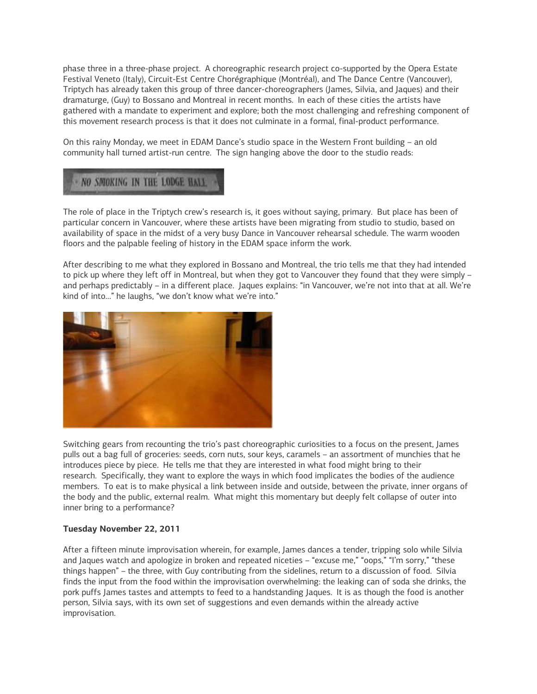phase three in a three-phase project. A choreographic research project co-supported by the Opera Estate Festival Veneto (Italy), Circuit-Est Centre Chorégraphique (Montréal), and The Dance Centre (Vancouver), Triptych has already taken this group of three dancer-choreographers (James, Silvia, and Jaques) and their dramaturge, (Guy) to Bossano and Montreal in recent months. In each of these cities the artists have gathered with a mandate to experiment and explore; both the most challenging and refreshing component of this movement research process is that it does not culminate in a formal, final-product performance.

On this rainy Monday, we meet in EDAM Dance's studio space in the Western Front building – an old community hall turned artist-run centre. The sign hanging above the door to the studio reads:

# - NO SMOKING IN THE LODGE HALL

The role of place in the Triptych crew's research is, it goes without saying, primary. But place has been of particular concern in Vancouver, where these artists have been migrating from studio to studio, based on availability of space in the midst of a very busy Dance in Vancouver rehearsal schedule. The warm wooden floors and the palpable feeling of history in the EDAM space inform the work.

After describing to me what they explored in Bossano and Montreal, the trio tells me that they had intended to pick up where they left off in Montreal, but when they got to Vancouver they found that they were simply – and perhaps predictably – in a different place. Jaques explains: "in Vancouver, we're not into that at all. We're kind of into…" he laughs, "we don't know what we're into."



Switching gears from recounting the trio's past choreographic curiosities to a focus on the present, James pulls out a bag full of groceries: seeds, corn nuts, sour keys, caramels – an assortment of munchies that he introduces piece by piece. He tells me that they are interested in what food might bring to their research. Specifically, they want to explore the ways in which food implicates the bodies of the audience members. To eat is to make physical a link between inside and outside, between the private, inner organs of the body and the public, external realm. What might this momentary but deeply felt collapse of outer into inner bring to a performance?

### **Tuesday November 22, 2011**

After a fifteen minute improvisation wherein, for example, James dances a tender, tripping solo while Silvia and Jaques watch and apologize in broken and repeated niceties – "excuse me," "oops," "I'm sorry," "these things happen" – the three, with Guy contributing from the sidelines, return to a discussion of food. Silvia finds the input from the food within the improvisation overwhelming: the leaking can of soda she drinks, the pork puffs James tastes and attempts to feed to a handstanding Jaques. It is as though the food is another person, Silvia says, with its own set of suggestions and even demands within the already active improvisation.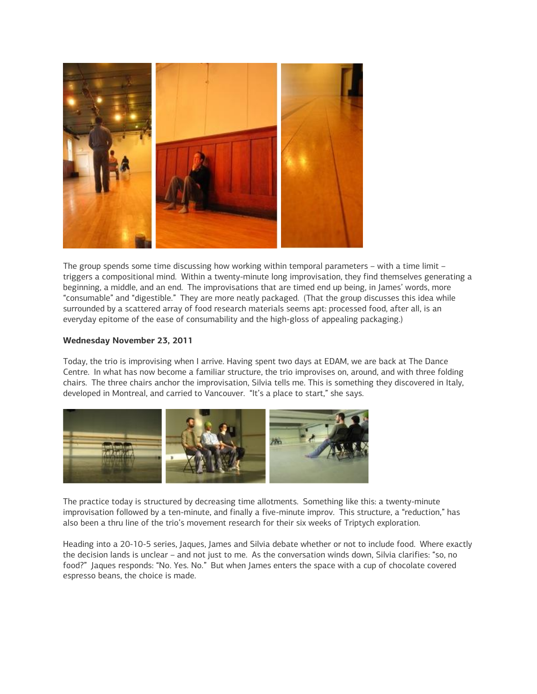

The group spends some time discussing how working within temporal parameters – with a time limit – triggers a compositional mind. Within a twenty-minute long improvisation, they find themselves generating a beginning, a middle, and an end. The improvisations that are timed end up being, in James' words, more "consumable" and "digestible." They are more neatly packaged. (That the group discusses this idea while surrounded by a scattered array of food research materials seems apt: processed food, after all, is an everyday epitome of the ease of consumability and the high-gloss of appealing packaging.)

#### **Wednesday November 23, 2011**

Today, the trio is improvising when I arrive. Having spent two days at EDAM, we are back at The Dance Centre. In what has now become a familiar structure, the trio improvises on, around, and with three folding chairs. The three chairs anchor the improvisation, Silvia tells me. This is something they discovered in Italy, developed in Montreal, and carried to Vancouver. "It's a place to start," she says.



The practice today is structured by decreasing time allotments. Something like this: a twenty-minute improvisation followed by a ten-minute, and finally a five-minute improv. This structure, a "reduction," has also been a thru line of the trio's movement research for their six weeks of Triptych exploration.

Heading into a 20-10-5 series, Jaques, James and Silvia debate whether or not to include food. Where exactly the decision lands is unclear – and not just to me. As the conversation winds down, Silvia clarifies: "so, no food?" Jaques responds: "No. Yes. No." But when James enters the space with a cup of chocolate covered espresso beans, the choice is made.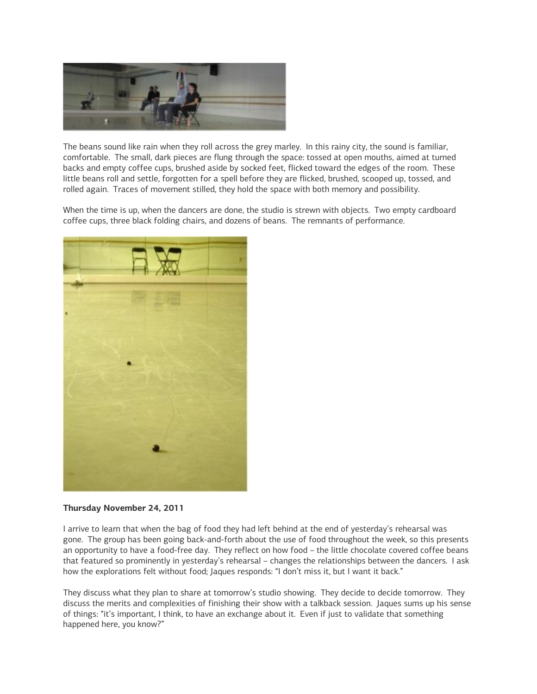

The beans sound like rain when they roll across the grey marley. In this rainy city, the sound is familiar, comfortable. The small, dark pieces are flung through the space: tossed at open mouths, aimed at turned backs and empty coffee cups, brushed aside by socked feet, flicked toward the edges of the room. These little beans roll and settle, forgotten for a spell before they are flicked, brushed, scooped up, tossed, and rolled again. Traces of movement stilled, they hold the space with both memory and possibility.

When the time is up, when the dancers are done, the studio is strewn with objects. Two empty cardboard coffee cups, three black folding chairs, and dozens of beans. The remnants of performance.



### **Thursday November 24, 2011**

I arrive to learn that when the bag of food they had left behind at the end of yesterday's rehearsal was gone. The group has been going back-and-forth about the use of food throughout the week, so this presents an opportunity to have a food-free day. They reflect on how food – the little chocolate covered coffee beans that featured so prominently in yesterday's rehearsal – changes the relationships between the dancers. I ask how the explorations felt without food; Jaques responds: "I don't miss it, but I want it back."

They discuss what they plan to share at tomorrow's studio showing. They decide to decide tomorrow. They discuss the merits and complexities of finishing their show with a talkback session. Jaques sums up his sense of things: "it's important, I think, to have an exchange about it. Even if just to validate that something happened here, you know?"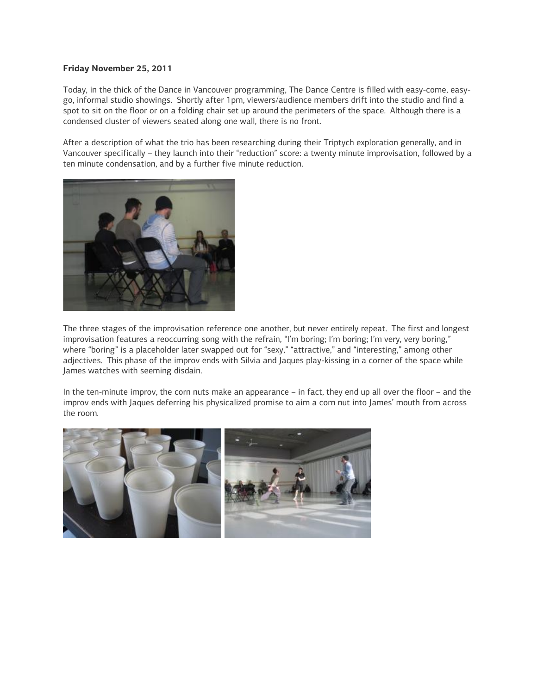#### **Friday November 25, 2011**

Today, in the thick of the Dance in Vancouver programming, The Dance Centre is filled with easy-come, easygo, informal studio showings. Shortly after 1pm, viewers/audience members drift into the studio and find a spot to sit on the floor or on a folding chair set up around the perimeters of the space. Although there is a condensed cluster of viewers seated along one wall, there is no front.

After a description of what the trio has been researching during their Triptych exploration generally, and in Vancouver specifically – they launch into their "reduction" score: a twenty minute improvisation, followed by a ten minute condensation, and by a further five minute reduction.



The three stages of the improvisation reference one another, but never entirely repeat. The first and longest improvisation features a reoccurring song with the refrain, "I'm boring; I'm boring; I'm very, very boring," where "boring" is a placeholder later swapped out for "sexy," "attractive," and "interesting," among other adjectives. This phase of the improv ends with Silvia and Jaques play-kissing in a corner of the space while James watches with seeming disdain.

In the ten-minute improv, the corn nuts make an appearance – in fact, they end up all over the floor – and the improv ends with Jaques deferring his physicalized promise to aim a corn nut into James' mouth from across the room.

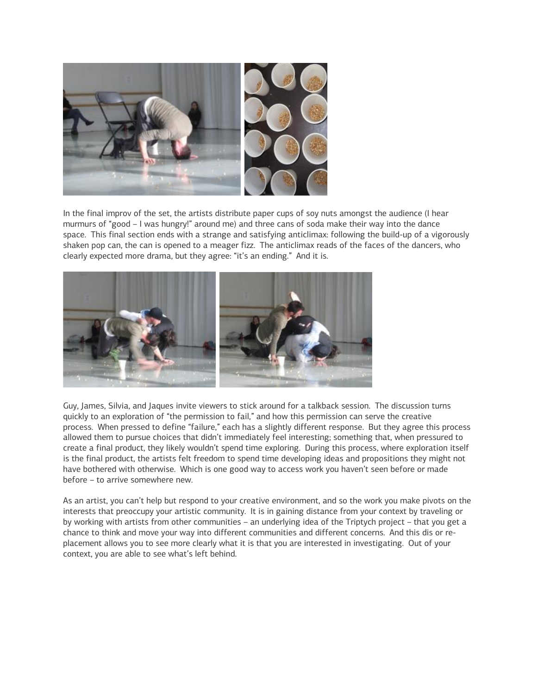

In the final improv of the set, the artists distribute paper cups of soy nuts amongst the audience (I hear murmurs of "good – I was hungry!" around me) and three cans of soda make their way into the dance space. This final section ends with a strange and satisfying anticlimax: following the build-up of a vigorously shaken pop can, the can is opened to a meager fizz. The anticlimax reads of the faces of the dancers, who clearly expected more drama, but they agree: "it's an ending." And it is.



Guy, James, Silvia, and Jaques invite viewers to stick around for a talkback session. The discussion turns quickly to an exploration of "the permission to fail," and how this permission can serve the creative process. When pressed to define "failure," each has a slightly different response. But they agree this process allowed them to pursue choices that didn't immediately feel interesting; something that, when pressured to create a final product, they likely wouldn't spend time exploring. During this process, where exploration itself is the final product, the artists felt freedom to spend time developing ideas and propositions they might not have bothered with otherwise. Which is one good way to access work you haven't seen before or made before – to arrive somewhere new.

As an artist, you can't help but respond to your creative environment, and so the work you make pivots on the interests that preoccupy your artistic community. It is in gaining distance from your context by traveling or by working with artists from other communities – an underlying idea of the Triptych project – that you get a chance to think and move your way into different communities and different concerns. And this dis or replacement allows you to see more clearly what it is that you are interested in investigating. Out of your context, you are able to see what's left behind.